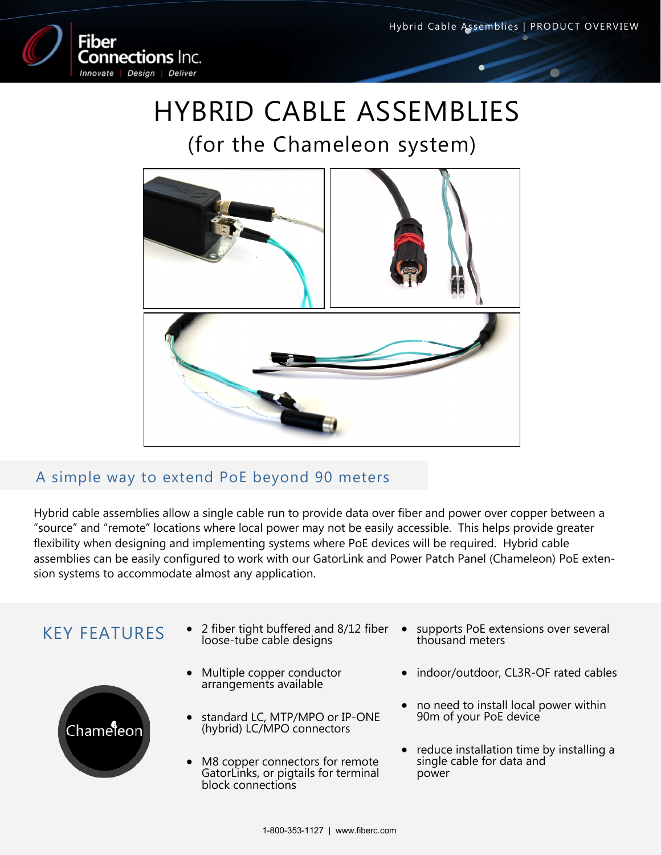

# HYBRID CABLE ASSEMBLIES

## (for the Chameleon system)



### A simple way to extend PoE beyond 90 meters

Hybrid cable assemblies allow a single cable run to provide data over fiber and power over copper between a "source" and "remote" locations where local power may not be easily accessible. This helps provide greater flexibility when designing and implementing systems where PoE devices will be required. Hybrid cable assemblies can be easily configured to work with our GatorLink and Power Patch Panel (Chameleon) PoE extension systems to accommodate almost any application.



- loose-tube cable designs
- Multiple copper conductor arrangements available
- standard LC, MTP/MPO or IP-ONE (hybrid) LC/MPO connectors
- M8 copper connectors for remote GatorLinks, or pigtails for terminal block connections
- KEY FEATURES  $\bullet$  2 fiber tight buffered and 8/12 fiber  $\bullet$  supports PoE extensions over several loose-tube cable designs thousand meters
	- indoor/outdoor, CL3R-OF rated cables
	- no need to install local power within 90m of your PoE device
	- reduce installation time by installing a single cable for data and power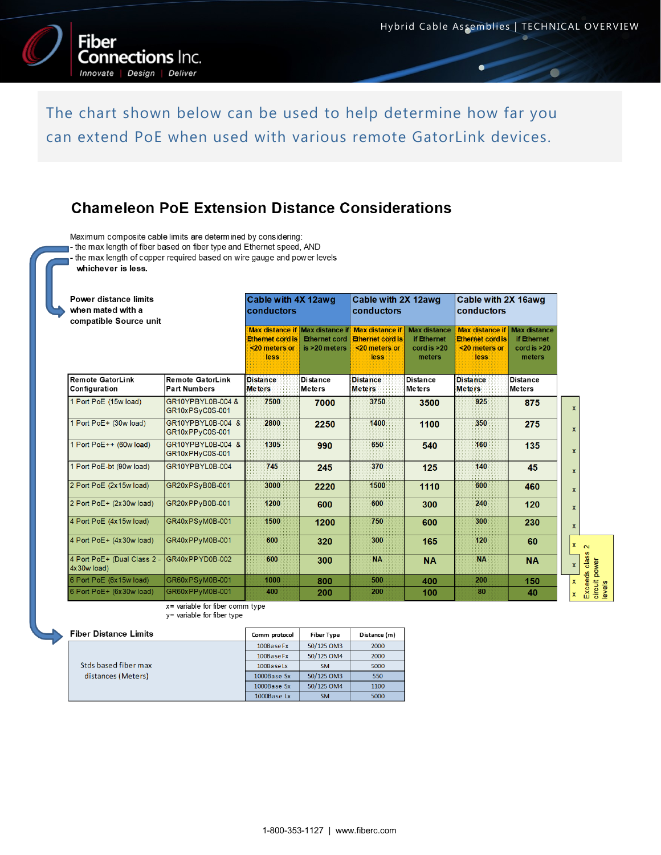

The chart shown below can be used to help determine how far you can extend PoE when used with various remote GatorLink devices.

#### **Chameleon PoE Extension Distance Considerations**

Maximum composite cable limits are determined by considering:

- the max length of fiber based on fiber type and Ethernet speed, AND

- the max length of copper required based on wire gauge and power levels

whichever is less.

| <b>Power distance limits</b><br>when mated with a<br>compatible Source unit |                                         | Cable with 4X 12awq<br>conductors                |                                       | Cable with 2X 12awg<br>conductors                                                                   |                                                             | Cable with 2X 16awg<br>conductors                                          |                                                                        |
|-----------------------------------------------------------------------------|-----------------------------------------|--------------------------------------------------|---------------------------------------|-----------------------------------------------------------------------------------------------------|-------------------------------------------------------------|----------------------------------------------------------------------------|------------------------------------------------------------------------|
|                                                                             |                                         | <b>Ethernet cord is</b><br><20 meters or<br>less | <b>Ethernet cord</b><br>is >20 meters | Max distance if Max distance if Max distance if<br><b>Ethernet cord is</b><br><20 meters or<br>less | <b>Max distance</b><br>if Ethernet<br>cordis > 20<br>meters | Max distance if<br><b>Ethernet cord is</b><br><20 meters or<br><b>less</b> | <b>Max distance</b><br>if Ethernet<br>$\text{cord}$ is $>20$<br>meters |
| <b>Remote GatorLink</b><br>Configuration                                    | Remote GatorLink<br><b>Part Numbers</b> | <b>Distance</b><br><b>Meters</b>                 | <b>Distance</b><br>Meters             | <b>Distance</b><br>Meters                                                                           | Distance<br>Meters                                          | <b>Distance</b><br><b>Meters</b>                                           | <b>Distance</b><br><b>Meters</b>                                       |
| 1 Port PoE (15w load)                                                       | GR10YPBYL0B-004 &<br>GR10xPSyC0S-001    | 7500                                             | 7000                                  | 3750                                                                                                | 3500                                                        | 925                                                                        | 875                                                                    |
| 1 Port PoE+ (30w load)                                                      | GR10YPBYL0B-004 &<br>GR10xPPyC0S-001    | 2800                                             | 2250                                  | 1400                                                                                                | 1100                                                        | 350                                                                        | 275                                                                    |
| 1 Port PoE++ (60w load)                                                     | GR10YPBYL0B-004 &<br>GR10xPHyC0S-001    | 1305                                             | 990                                   | 650                                                                                                 | 540                                                         | 160                                                                        | 135                                                                    |
| 1 Port PoE-bt (90w load)                                                    | GR10YPBYL0B-004                         | 745                                              | 245                                   | 370                                                                                                 | 125                                                         | 140                                                                        | 45                                                                     |
| 2 Port PoE (2x15w load)                                                     | GR20xPSvB0B-001                         | 3000                                             | 2220                                  | 1500                                                                                                | 1110                                                        | 600                                                                        | 460                                                                    |
| 2 Port PoE+ (2x30w load)                                                    | GR20xPPvB0B-001                         | 1200                                             | 600                                   | 600                                                                                                 | 300                                                         | 240                                                                        | 120                                                                    |
| 4 Port PoE (4x15w load)                                                     | GR40xPSyM0B-001                         | 1500                                             | 1200                                  | 750                                                                                                 | 600                                                         | 300                                                                        | 230                                                                    |
| 4 Port PoE+ (4x30w load)                                                    | GR40xPPyM0B-001                         | 600                                              | 320                                   | 300                                                                                                 | 165                                                         | 120                                                                        | 60                                                                     |
| 4 Port PoE+ (Dual Class 2 -<br>$4x30w$ load)                                | IGR40xPPYD0B-002                        | 600                                              | 300                                   | <b>NA</b>                                                                                           | <b>NA</b>                                                   | <b>NA</b>                                                                  | <b>NA</b>                                                              |
| 6 Port PoE (6x15w load)                                                     | GR60xPSyM0B-001                         | 1000                                             | 800                                   | 500                                                                                                 | 400                                                         | 200                                                                        | 150                                                                    |
| 6 Port PoE+ (6x30w load)                                                    | GR60xPPyM0B-001                         | 400                                              | 200                                   | 200                                                                                                 | 100                                                         | 80                                                                         | 40                                                                     |

x= variable for fiber comm type y= variable for fiber type

| <b>Fiber Distance Limits</b> |               |                   |              |  |
|------------------------------|---------------|-------------------|--------------|--|
|                              | Comm protocol | <b>Fiber Type</b> | Distance (m) |  |
|                              | 100BaseFx     | 50/125 OM3        | 2000         |  |
|                              | 100BaseFx     | 50/125 OM4        | 2000         |  |
| Stds based fiber max         | 100Baselx     | <b>SM</b>         | 5000         |  |
| distances (Meters)           | 1000Base Sx   | 50/125 OM3        | 550          |  |
|                              | 1000Base Sx   | 50/125 OM4        | 1100         |  |
|                              | 1000Base Lx   | <b>SM</b>         | 5000         |  |